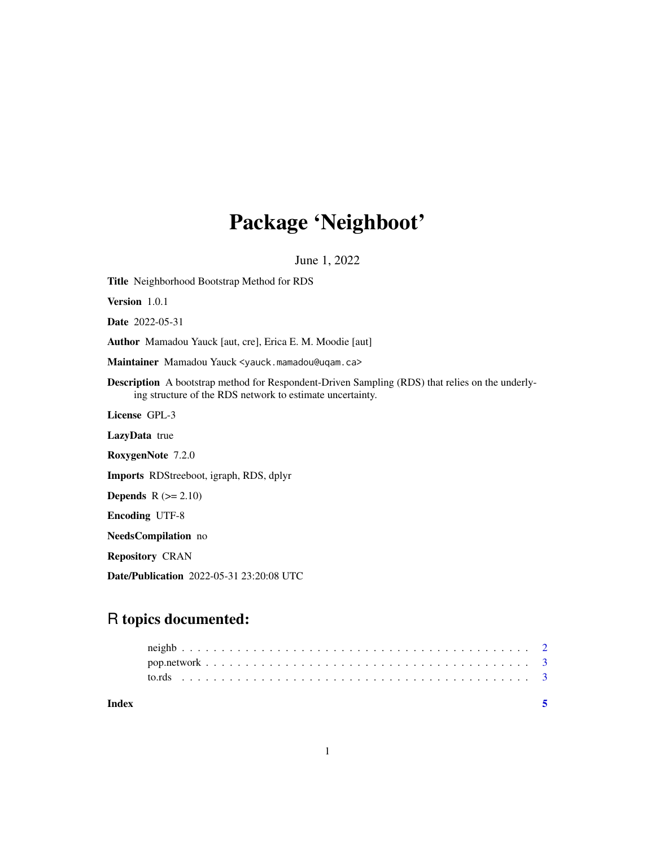## Package 'Neighboot'

June 1, 2022

Title Neighborhood Bootstrap Method for RDS Version 1.0.1 Date 2022-05-31 Author Mamadou Yauck [aut, cre], Erica E. M. Moodie [aut] Maintainer Mamadou Yauck <yauck.mamadou@uqam.ca> Description A bootstrap method for Respondent-Driven Sampling (RDS) that relies on the underlying structure of the RDS network to estimate uncertainty. License GPL-3 LazyData true RoxygenNote 7.2.0 Imports RDStreeboot, igraph, RDS, dplyr **Depends**  $R$  ( $>= 2.10$ ) Encoding UTF-8 NeedsCompilation no Repository CRAN Date/Publication 2022-05-31 23:20:08 UTC

### R topics documented:

| Index |  |
|-------|--|
|       |  |
|       |  |
|       |  |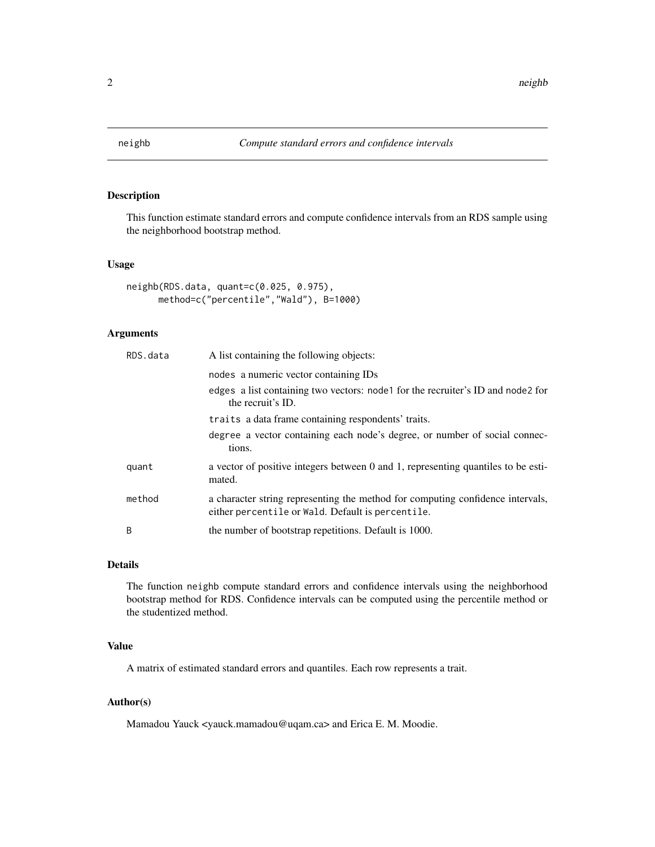<span id="page-1-0"></span>

#### Description

This function estimate standard errors and compute confidence intervals from an RDS sample using the neighborhood bootstrap method.

#### Usage

```
neighb(RDS.data, quant=c(0.025, 0.975),
     method=c("percentile","Wald"), B=1000)
```
#### Arguments

| RDS.data | A list containing the following objects:                                                                                            |
|----------|-------------------------------------------------------------------------------------------------------------------------------------|
|          | nodes a numeric vector containing IDs                                                                                               |
|          | edges a list containing two vectors: node for the recruiter's ID and node 2 for<br>the recruit's ID.                                |
|          | traits a data frame containing respondents' traits.                                                                                 |
|          | degree a vector containing each node's degree, or number of social connec-<br>tions.                                                |
| quant    | a vector of positive integers between 0 and 1, representing quantiles to be esti-<br>mated.                                         |
| method   | a character string representing the method for computing confidence intervals,<br>either percentile or Wald. Default is percentile. |
| B        | the number of bootstrap repetitions. Default is 1000.                                                                               |

#### Details

The function neighb compute standard errors and confidence intervals using the neighborhood bootstrap method for RDS. Confidence intervals can be computed using the percentile method or the studentized method.

#### Value

A matrix of estimated standard errors and quantiles. Each row represents a trait.

#### Author(s)

Mamadou Yauck <yauck.mamadou@uqam.ca> and Erica E. M. Moodie.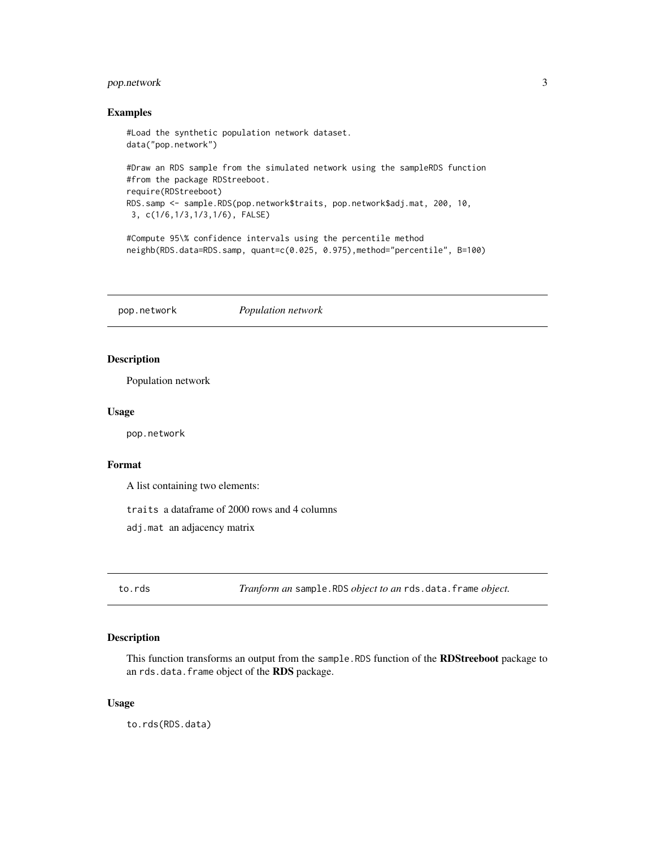#### <span id="page-2-0"></span>pop.network 3

#### Examples

```
#Load the synthetic population network dataset.
data("pop.network")
#Draw an RDS sample from the simulated network using the sampleRDS function
#from the package RDStreeboot.
require(RDStreeboot)
RDS.samp <- sample.RDS(pop.network$traits, pop.network$adj.mat, 200, 10,
3, c(1/6,1/3,1/3,1/6), FALSE)
```

```
#Compute 95\% confidence intervals using the percentile method
neighb(RDS.data=RDS.samp, quant=c(0.025, 0.975),method="percentile", B=100)
```
pop.network *Population network*

#### Description

Population network

#### Usage

pop.network

#### Format

A list containing two elements:

traits a dataframe of 2000 rows and 4 columns

adj.mat an adjacency matrix

to.rds *Tranform an* sample.RDS *object to an* rds.data.frame *object.*

#### Description

This function transforms an output from the sample.RDS function of the RDStreeboot package to an rds.data.frame object of the RDS package.

#### Usage

to.rds(RDS.data)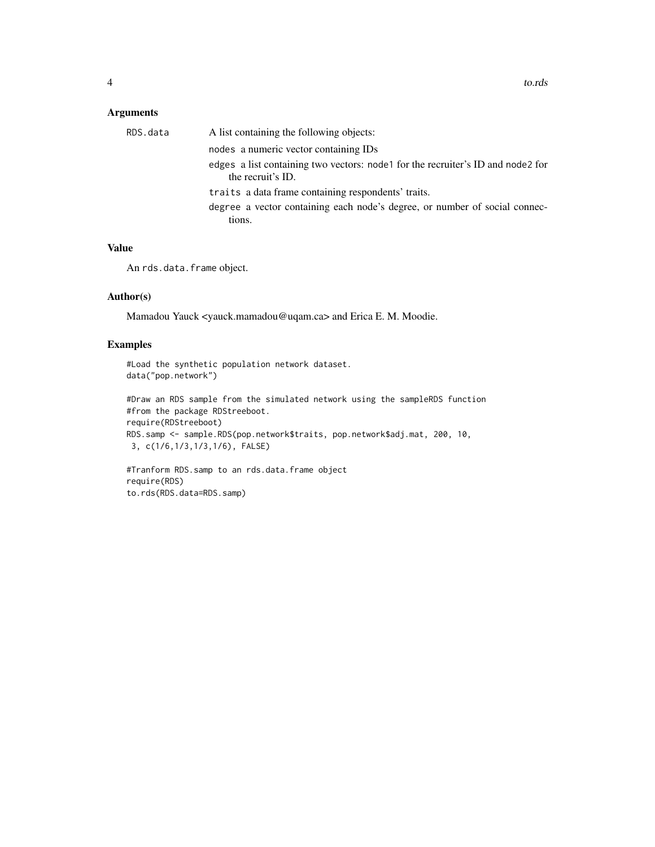#### Arguments

| RDS.data | A list containing the following objects:                                                             |
|----------|------------------------------------------------------------------------------------------------------|
|          | nodes a numeric vector containing IDs                                                                |
|          | edges a list containing two vectors: node for the recruiter's ID and node 2 for<br>the recruit's ID. |
|          | traits a data frame containing respondents' traits.                                                  |
|          | degree a vector containing each node's degree, or number of social connec-<br>tions.                 |
|          |                                                                                                      |

#### Value

An rds.data.frame object.

#### Author(s)

Mamadou Yauck <yauck.mamadou@uqam.ca> and Erica E. M. Moodie.

#### Examples

```
#Load the synthetic population network dataset.
data("pop.network")
```

```
#Draw an RDS sample from the simulated network using the sampleRDS function
#from the package RDStreeboot.
require(RDStreeboot)
RDS.samp <- sample.RDS(pop.network$traits, pop.network$adj.mat, 200, 10,
 3, c(1/6,1/3,1/3,1/6), FALSE)
```

```
#Tranform RDS.samp to an rds.data.frame object
require(RDS)
to.rds(RDS.data=RDS.samp)
```